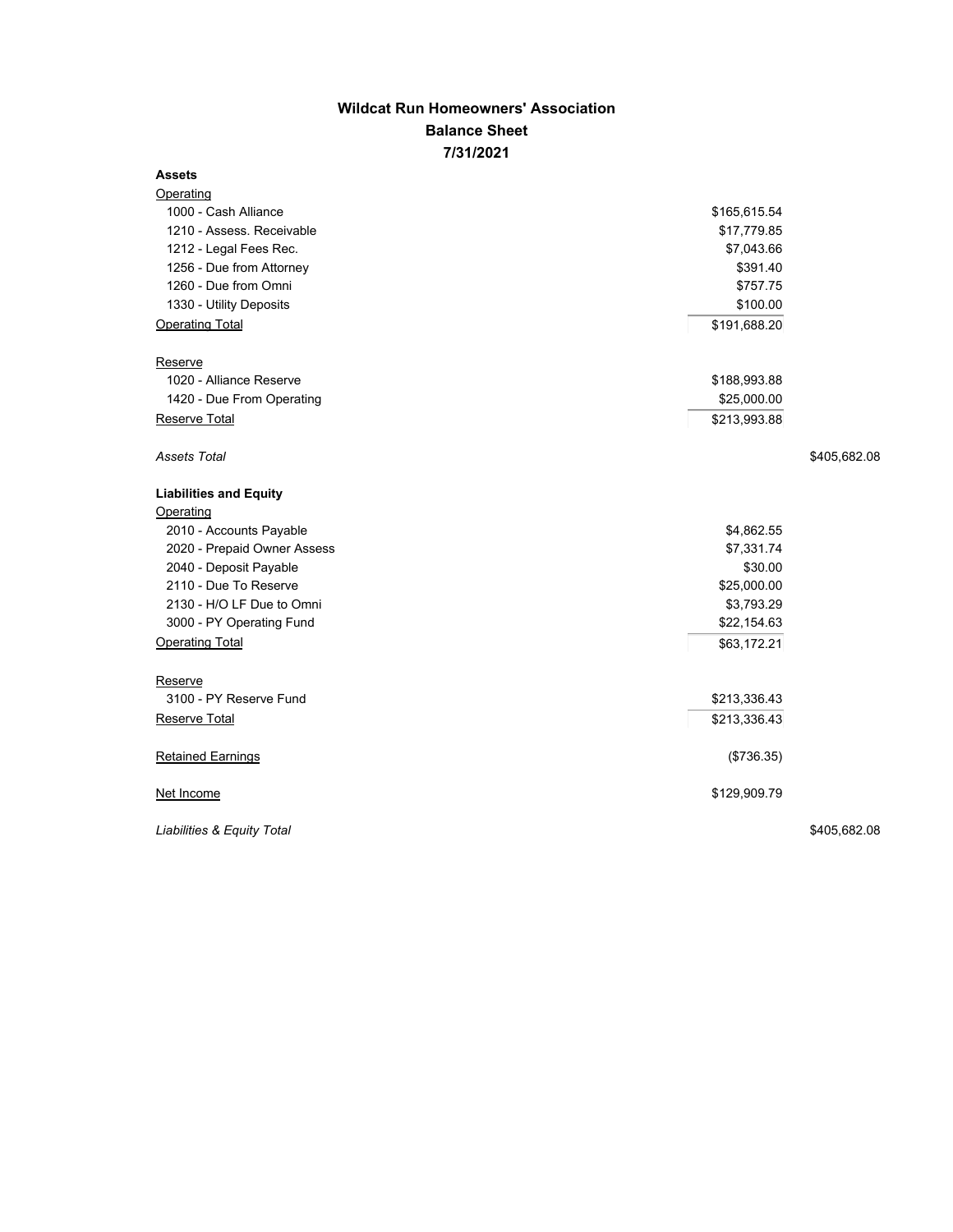## **Wildcat Run Homeowners' Association Balance Sheet 7/31/2021**

## **Assets**

| <b>Operating</b>              |              |              |
|-------------------------------|--------------|--------------|
| 1000 - Cash Alliance          | \$165,615.54 |              |
| 1210 - Assess. Receivable     | \$17,779.85  |              |
| 1212 - Legal Fees Rec.        | \$7,043.66   |              |
| 1256 - Due from Attorney      | \$391.40     |              |
| 1260 - Due from Omni          | \$757.75     |              |
| 1330 - Utility Deposits       | \$100.00     |              |
| <b>Operating Total</b>        | \$191,688.20 |              |
| Reserve                       |              |              |
| 1020 - Alliance Reserve       | \$188,993.88 |              |
| 1420 - Due From Operating     | \$25,000.00  |              |
| Reserve Total                 | \$213,993.88 |              |
|                               |              |              |
| Assets Total                  |              | \$405,682.08 |
| <b>Liabilities and Equity</b> |              |              |
| Operating                     |              |              |
| 2010 - Accounts Payable       | \$4,862.55   |              |
| 2020 - Prepaid Owner Assess   | \$7,331.74   |              |
| 2040 - Deposit Payable        | \$30.00      |              |
| 2110 - Due To Reserve         | \$25,000.00  |              |
| 2130 - H/O LF Due to Omni     | \$3,793.29   |              |
| 3000 - PY Operating Fund      | \$22,154.63  |              |
| <b>Operating Total</b>        | \$63,172.21  |              |
| Reserve                       |              |              |
| 3100 - PY Reserve Fund        | \$213,336.43 |              |
| Reserve Total                 | \$213,336.43 |              |
|                               |              |              |
| <b>Retained Earnings</b>      | (\$736.35)   |              |
| Net Income                    | \$129,909.79 |              |
| Liabilities & Equity Total    |              | \$405,682.08 |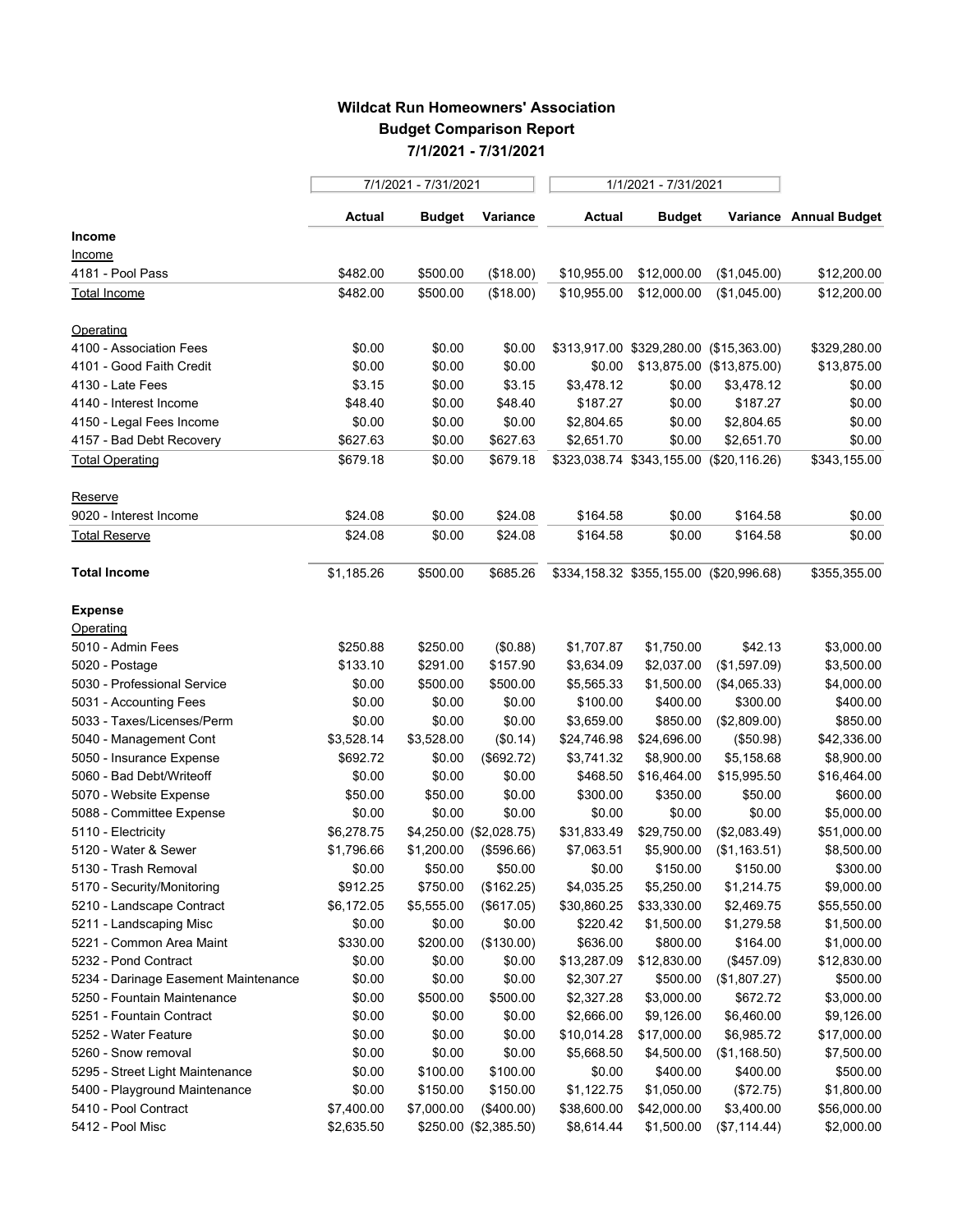## **Wildcat Run Homeowners' Association Budget Comparison Report 7/1/2021 - 7/31/2021**

|                                      | 7/1/2021 - 7/31/2021 |            |                         | 1/1/2021 - 7/31/2021 |               |                                         |                        |
|--------------------------------------|----------------------|------------|-------------------------|----------------------|---------------|-----------------------------------------|------------------------|
|                                      | <b>Actual</b>        | Budget     | Variance                | <b>Actual</b>        | <b>Budget</b> |                                         | Variance Annual Budget |
| Income                               |                      |            |                         |                      |               |                                         |                        |
| <u>Income</u>                        |                      |            |                         |                      |               |                                         |                        |
| 4181 - Pool Pass                     | \$482.00             | \$500.00   | (\$18.00)               | \$10,955.00          | \$12,000.00   | (\$1,045.00)                            | \$12,200.00            |
| Total Income                         | \$482.00             | \$500.00   | (\$18.00)               | \$10,955.00          | \$12,000.00   | (\$1,045.00)                            | \$12,200.00            |
| Operating                            |                      |            |                         |                      |               |                                         |                        |
| 4100 - Association Fees              | \$0.00               | \$0.00     | \$0.00                  |                      |               | \$313,917.00 \$329,280.00 (\$15,363.00) | \$329,280.00           |
| 4101 - Good Faith Credit             | \$0.00               | \$0.00     | \$0.00                  | \$0.00               |               | \$13,875.00 (\$13,875.00)               | \$13,875.00            |
| 4130 - Late Fees                     | \$3.15               | \$0.00     | \$3.15                  | \$3,478.12           | \$0.00        | \$3,478.12                              | \$0.00                 |
| 4140 - Interest Income               | \$48.40              | \$0.00     | \$48.40                 | \$187.27             | \$0.00        | \$187.27                                | \$0.00                 |
| 4150 - Legal Fees Income             | \$0.00               | \$0.00     | \$0.00                  | \$2,804.65           | \$0.00        | \$2,804.65                              | \$0.00                 |
| 4157 - Bad Debt Recovery             | \$627.63             | \$0.00     | \$627.63                | \$2,651.70           | \$0.00        | \$2,651.70                              | \$0.00                 |
| <b>Total Operating</b>               | \$679.18             | \$0.00     | \$679.18                |                      |               | \$323,038.74 \$343,155.00 (\$20,116.26) | \$343,155.00           |
| Reserve                              |                      |            |                         |                      |               |                                         |                        |
| 9020 - Interest Income               | \$24.08              | \$0.00     | \$24.08                 | \$164.58             | \$0.00        | \$164.58                                | \$0.00                 |
| Total Reserve                        | \$24.08              | \$0.00     | \$24.08                 | \$164.58             | \$0.00        | \$164.58                                | \$0.00                 |
| <b>Total Income</b>                  | \$1,185.26           | \$500.00   | \$685.26                |                      |               | \$334,158.32 \$355,155.00 (\$20,996.68) | \$355,355.00           |
| <b>Expense</b>                       |                      |            |                         |                      |               |                                         |                        |
| Operating                            |                      |            |                         |                      |               |                                         |                        |
| 5010 - Admin Fees                    | \$250.88             | \$250.00   | (\$0.88)                | \$1,707.87           | \$1,750.00    | \$42.13                                 | \$3,000.00             |
| 5020 - Postage                       | \$133.10             | \$291.00   | \$157.90                | \$3,634.09           | \$2,037.00    | (\$1,597.09)                            | \$3,500.00             |
| 5030 - Professional Service          | \$0.00               | \$500.00   | \$500.00                | \$5,565.33           | \$1,500.00    | (\$4,065.33)                            | \$4,000.00             |
| 5031 - Accounting Fees               | \$0.00               | \$0.00     | \$0.00                  | \$100.00             | \$400.00      | \$300.00                                | \$400.00               |
| 5033 - Taxes/Licenses/Perm           | \$0.00               | \$0.00     | \$0.00                  | \$3,659.00           | \$850.00      | (\$2,809.00)                            | \$850.00               |
| 5040 - Management Cont               | \$3,528.14           | \$3,528.00 | (\$0.14)                | \$24,746.98          | \$24,696.00   | (\$50.98)                               | \$42,336.00            |
| 5050 - Insurance Expense             | \$692.72             | \$0.00     | (\$692.72)              | \$3,741.32           | \$8,900.00    | \$5,158.68                              | \$8,900.00             |
| 5060 - Bad Debt/Writeoff             | \$0.00               | \$0.00     | \$0.00                  | \$468.50             | \$16,464.00   | \$15,995.50                             | \$16,464.00            |
| 5070 - Website Expense               | \$50.00              | \$50.00    | \$0.00                  | \$300.00             | \$350.00      | \$50.00                                 | \$600.00               |
| 5088 - Committee Expense             | \$0.00               | \$0.00     | \$0.00                  | \$0.00               | \$0.00        | \$0.00                                  | \$5,000.00             |
| 5110 - Electricity                   | \$6,278.75           |            | \$4,250.00 (\$2,028.75) | \$31,833.49          | \$29,750.00   | (\$2,083.49)                            | \$51,000.00            |
| 5120 - Water & Sewer                 | \$1,796.66           | \$1,200.00 | (\$596.66)              | \$7,063.51           | \$5,900.00    | (\$1,163.51)                            | \$8,500.00             |
| 5130 - Trash Removal                 | \$0.00               | \$50.00    | \$50.00                 | \$0.00               | \$150.00      | \$150.00                                | \$300.00               |
| 5170 - Security/Monitoring           | \$912.25             | \$750.00   | (\$162.25)              | \$4,035.25           | \$5,250.00    | \$1,214.75                              | \$9,000.00             |
| 5210 - Landscape Contract            | \$6,172.05           | \$5,555.00 | (\$617.05)              | \$30,860.25          | \$33,330.00   | \$2,469.75                              | \$55,550.00            |
| 5211 - Landscaping Misc              | \$0.00               | \$0.00     | \$0.00                  | \$220.42             | \$1,500.00    | \$1,279.58                              | \$1,500.00             |
| 5221 - Common Area Maint             | \$330.00             | \$200.00   | (\$130.00)              | \$636.00             | \$800.00      | \$164.00                                | \$1,000.00             |
| 5232 - Pond Contract                 | \$0.00               | \$0.00     | \$0.00                  | \$13,287.09          | \$12,830.00   | (\$457.09)                              | \$12,830.00            |
| 5234 - Darinage Easement Maintenance | \$0.00               | \$0.00     | \$0.00                  | \$2,307.27           | \$500.00      | (\$1,807.27)                            | \$500.00               |
| 5250 - Fountain Maintenance          | \$0.00               | \$500.00   | \$500.00                | \$2,327.28           | \$3,000.00    | \$672.72                                | \$3,000.00             |
| 5251 - Fountain Contract             | \$0.00               | \$0.00     | \$0.00                  | \$2,666.00           | \$9,126.00    | \$6,460.00                              | \$9,126.00             |
| 5252 - Water Feature                 | \$0.00               | \$0.00     | \$0.00                  | \$10,014.28          | \$17,000.00   | \$6,985.72                              | \$17,000.00            |
| 5260 - Snow removal                  | \$0.00               | \$0.00     | \$0.00                  | \$5,668.50           | \$4,500.00    | (\$1,168.50)                            | \$7,500.00             |
| 5295 - Street Light Maintenance      | \$0.00               | \$100.00   | \$100.00                | \$0.00               | \$400.00      | \$400.00                                | \$500.00               |
| 5400 - Playground Maintenance        | \$0.00               | \$150.00   | \$150.00                | \$1,122.75           | \$1,050.00    | (\$72.75)                               | \$1,800.00             |
| 5410 - Pool Contract                 | \$7,400.00           | \$7,000.00 | (\$400.00)              | \$38,600.00          | \$42,000.00   | \$3,400.00                              | \$56,000.00            |
| 5412 - Pool Misc                     | \$2,635.50           |            | \$250.00 (\$2,385.50)   | \$8,614.44           | \$1,500.00    | (\$7,114.44)                            | \$2,000.00             |